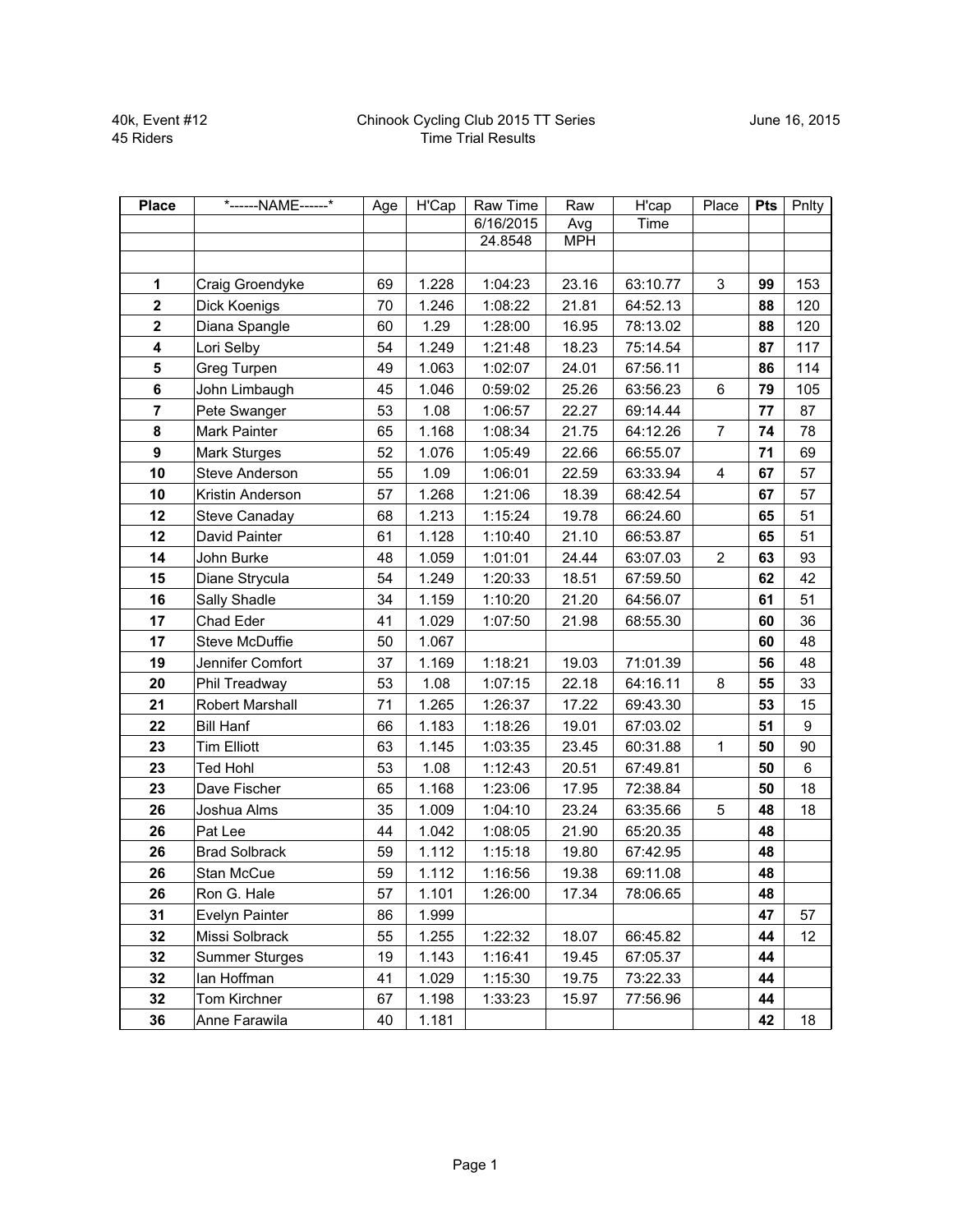| <b>Place</b>   | *------NAME------*    | Age | $\overline{H}$ <sup>Cap</sup> | Raw Time  | Raw        | H'cap    | Place                   | <b>Pts</b> | Pnlty   |
|----------------|-----------------------|-----|-------------------------------|-----------|------------|----------|-------------------------|------------|---------|
|                |                       |     |                               | 6/16/2015 | Avg        | Time     |                         |            |         |
|                |                       |     |                               | 24.8548   | <b>MPH</b> |          |                         |            |         |
|                |                       |     |                               |           |            |          |                         |            |         |
| 1              | Craig Groendyke       | 69  | 1.228                         | 1:04:23   | 23.16      | 63:10.77 | 3                       | 99         | 153     |
| $\mathbf 2$    | Dick Koenigs          | 70  | 1.246                         | 1:08:22   | 21.81      | 64:52.13 |                         | 88         | 120     |
| $\mathbf 2$    | Diana Spangle         | 60  | 1.29                          | 1:28:00   | 16.95      | 78:13.02 |                         | 88         | 120     |
| 4              | Lori Selby            | 54  | 1.249                         | 1:21:48   | 18.23      | 75:14.54 |                         | 87         | 117     |
| 5              | Greg Turpen           | 49  | 1.063                         | 1:02:07   | 24.01      | 67:56.11 |                         | 86         | 114     |
| $\bf 6$        | John Limbaugh         | 45  | 1.046                         | 0:59:02   | 25.26      | 63:56.23 | $6\phantom{1}$          | 79         | 105     |
| $\overline{7}$ | Pete Swanger          | 53  | 1.08                          | 1:06:57   | 22.27      | 69:14.44 |                         | 77         | 87      |
| 8              | Mark Painter          | 65  | 1.168                         | 1:08:34   | 21.75      | 64:12.26 | $\overline{7}$          | 74         | 78      |
| 9              | Mark Sturges          | 52  | 1.076                         | 1:05:49   | 22.66      | 66:55.07 |                         | 71         | 69      |
| 10             | Steve Anderson        | 55  | 1.09                          | 1:06:01   | 22.59      | 63:33.94 | $\overline{\mathbf{4}}$ | 67         | 57      |
| 10             | Kristin Anderson      | 57  | 1.268                         | 1:21:06   | 18.39      | 68:42.54 |                         | 67         | 57      |
| 12             | Steve Canaday         | 68  | 1.213                         | 1:15:24   | 19.78      | 66:24.60 |                         | 65         | 51      |
| 12             | David Painter         | 61  | 1.128                         | 1:10:40   | 21.10      | 66:53.87 |                         | 65         | 51      |
| 14             | John Burke            | 48  | 1.059                         | 1:01:01   | 24.44      | 63:07.03 | $\overline{2}$          | 63         | 93      |
| 15             | Diane Strycula        | 54  | 1.249                         | 1:20:33   | 18.51      | 67:59.50 |                         | 62         | 42      |
| 16             | Sally Shadle          | 34  | 1.159                         | 1:10:20   | 21.20      | 64:56.07 |                         | 61         | 51      |
| 17             | Chad Eder             | 41  | 1.029                         | 1:07:50   | 21.98      | 68:55.30 |                         | 60         | 36      |
| 17             | Steve McDuffie        | 50  | 1.067                         |           |            |          |                         | 60         | 48      |
| 19             | Jennifer Comfort      | 37  | 1.169                         | 1:18:21   | 19.03      | 71:01.39 |                         | 56         | 48      |
| 20             | Phil Treadway         | 53  | 1.08                          | 1:07:15   | 22.18      | 64:16.11 | 8                       | 55         | 33      |
| 21             | Robert Marshall       | 71  | 1.265                         | 1:26:37   | 17.22      | 69:43.30 |                         | 53         | 15      |
| 22             | <b>Bill Hanf</b>      | 66  | 1.183                         | 1:18:26   | 19.01      | 67:03.02 |                         | 51         | 9       |
| 23             | <b>Tim Elliott</b>    | 63  | 1.145                         | 1:03:35   | 23.45      | 60:31.88 | $\mathbf{1}$            | 50         | 90      |
| 23             | <b>Ted Hohl</b>       | 53  | 1.08                          | 1:12:43   | 20.51      | 67:49.81 |                         | 50         | $\,6\,$ |
| 23             | Dave Fischer          | 65  | 1.168                         | 1:23:06   | 17.95      | 72:38.84 |                         | 50         | 18      |
| 26             | Joshua Alms           | 35  | 1.009                         | 1:04:10   | 23.24      | 63:35.66 | 5                       | 48         | 18      |
| 26             | Pat Lee               | 44  | 1.042                         | 1:08:05   | 21.90      | 65:20.35 |                         | 48         |         |
| 26             | <b>Brad Solbrack</b>  | 59  | 1.112                         | 1:15:18   | 19.80      | 67:42.95 |                         | 48         |         |
| 26             | Stan McCue            | 59  | 1.112                         | 1:16:56   | 19.38      | 69:11.08 |                         | 48         |         |
| 26             | Ron G. Hale           | 57  | 1.101                         | 1:26:00   | 17.34      | 78:06.65 |                         | 48         |         |
| 31             | Evelyn Painter        | 86  | 1.999                         |           |            |          |                         | 47         | 57      |
| 32             | Missi Solbrack        | 55  | 1.255                         | 1:22:32   | 18.07      | 66:45.82 |                         | 44         | 12      |
| 32             | <b>Summer Sturges</b> | 19  | 1.143                         | 1:16:41   | 19.45      | 67:05.37 |                         | 44         |         |
| 32             | lan Hoffman           | 41  | 1.029                         | 1:15:30   | 19.75      | 73:22.33 |                         | 44         |         |
| 32             | Tom Kirchner          | 67  | 1.198                         | 1:33:23   | 15.97      | 77:56.96 |                         | 44         |         |
| 36             | Anne Farawila         | 40  | 1.181                         |           |            |          |                         | 42         | 18      |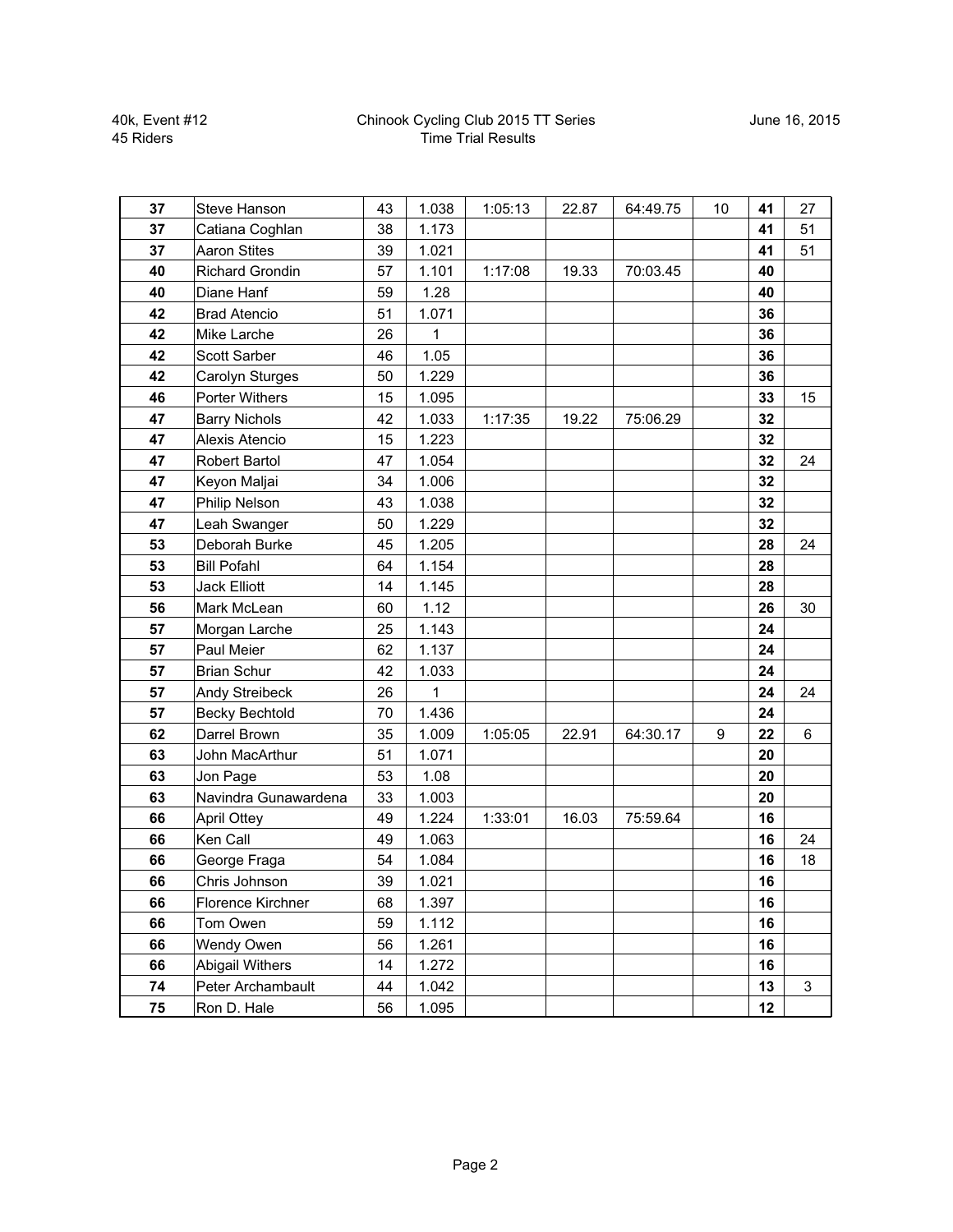| 37 | <b>Steve Hanson</b>    | 43 | 1.038 | 1:05:13 | 22.87 | 64:49.75 | 10 | 41 | 27           |
|----|------------------------|----|-------|---------|-------|----------|----|----|--------------|
| 37 | Catiana Coghlan        | 38 | 1.173 |         |       |          |    | 41 | 51           |
| 37 | <b>Aaron Stites</b>    | 39 | 1.021 |         |       |          |    | 41 | 51           |
| 40 | <b>Richard Grondin</b> | 57 | 1.101 | 1:17:08 | 19.33 | 70:03.45 |    | 40 |              |
| 40 | Diane Hanf             | 59 | 1.28  |         |       |          |    | 40 |              |
| 42 | <b>Brad Atencio</b>    | 51 | 1.071 |         |       |          |    | 36 |              |
| 42 | Mike Larche            | 26 | 1     |         |       |          |    | 36 |              |
| 42 | Scott Sarber           | 46 | 1.05  |         |       |          |    | 36 |              |
| 42 | Carolyn Sturges        | 50 | 1.229 |         |       |          |    | 36 |              |
| 46 | <b>Porter Withers</b>  | 15 | 1.095 |         |       |          |    | 33 | 15           |
| 47 | <b>Barry Nichols</b>   | 42 | 1.033 | 1:17:35 | 19.22 | 75:06.29 |    | 32 |              |
| 47 | Alexis Atencio         | 15 | 1.223 |         |       |          |    | 32 |              |
| 47 | <b>Robert Bartol</b>   | 47 | 1.054 |         |       |          |    | 32 | 24           |
| 47 | Keyon Maljai           | 34 | 1.006 |         |       |          |    | 32 |              |
| 47 | Philip Nelson          | 43 | 1.038 |         |       |          |    | 32 |              |
| 47 | Leah Swanger           | 50 | 1.229 |         |       |          |    | 32 |              |
| 53 | Deborah Burke          | 45 | 1.205 |         |       |          |    | 28 | 24           |
| 53 | <b>Bill Pofahl</b>     | 64 | 1.154 |         |       |          |    | 28 |              |
| 53 | <b>Jack Elliott</b>    | 14 | 1.145 |         |       |          |    | 28 |              |
| 56 | Mark McLean            | 60 | 1.12  |         |       |          |    | 26 | 30           |
| 57 | Morgan Larche          | 25 | 1.143 |         |       |          |    | 24 |              |
| 57 | Paul Meier             | 62 | 1.137 |         |       |          |    | 24 |              |
| 57 | <b>Brian Schur</b>     | 42 | 1.033 |         |       |          |    | 24 |              |
| 57 | Andy Streibeck         | 26 | 1     |         |       |          |    | 24 | 24           |
| 57 | <b>Becky Bechtold</b>  | 70 | 1.436 |         |       |          |    | 24 |              |
| 62 | Darrel Brown           | 35 | 1.009 | 1:05:05 | 22.91 | 64:30.17 | 9  | 22 | $6\,$        |
| 63 | John MacArthur         | 51 | 1.071 |         |       |          |    | 20 |              |
| 63 | Jon Page               | 53 | 1.08  |         |       |          |    | 20 |              |
| 63 | Navindra Gunawardena   | 33 | 1.003 |         |       |          |    | 20 |              |
| 66 | <b>April Ottey</b>     | 49 | 1.224 | 1:33:01 | 16.03 | 75:59.64 |    | 16 |              |
| 66 | Ken Call               | 49 | 1.063 |         |       |          |    | 16 | 24           |
| 66 | George Fraga           | 54 | 1.084 |         |       |          |    | 16 | 18           |
| 66 | Chris Johnson          | 39 | 1.021 |         |       |          |    | 16 |              |
| 66 | Florence Kirchner      | 68 | 1.397 |         |       |          |    | 16 |              |
| 66 | Tom Owen               | 59 | 1.112 |         |       |          |    | 16 |              |
| 66 | Wendy Owen             | 56 | 1.261 |         |       |          |    | 16 |              |
| 66 | <b>Abigail Withers</b> | 14 | 1.272 |         |       |          |    | 16 |              |
| 74 | Peter Archambault      | 44 | 1.042 |         |       |          |    | 13 | $\mathbf{3}$ |
| 75 | Ron D. Hale            | 56 | 1.095 |         |       |          |    | 12 |              |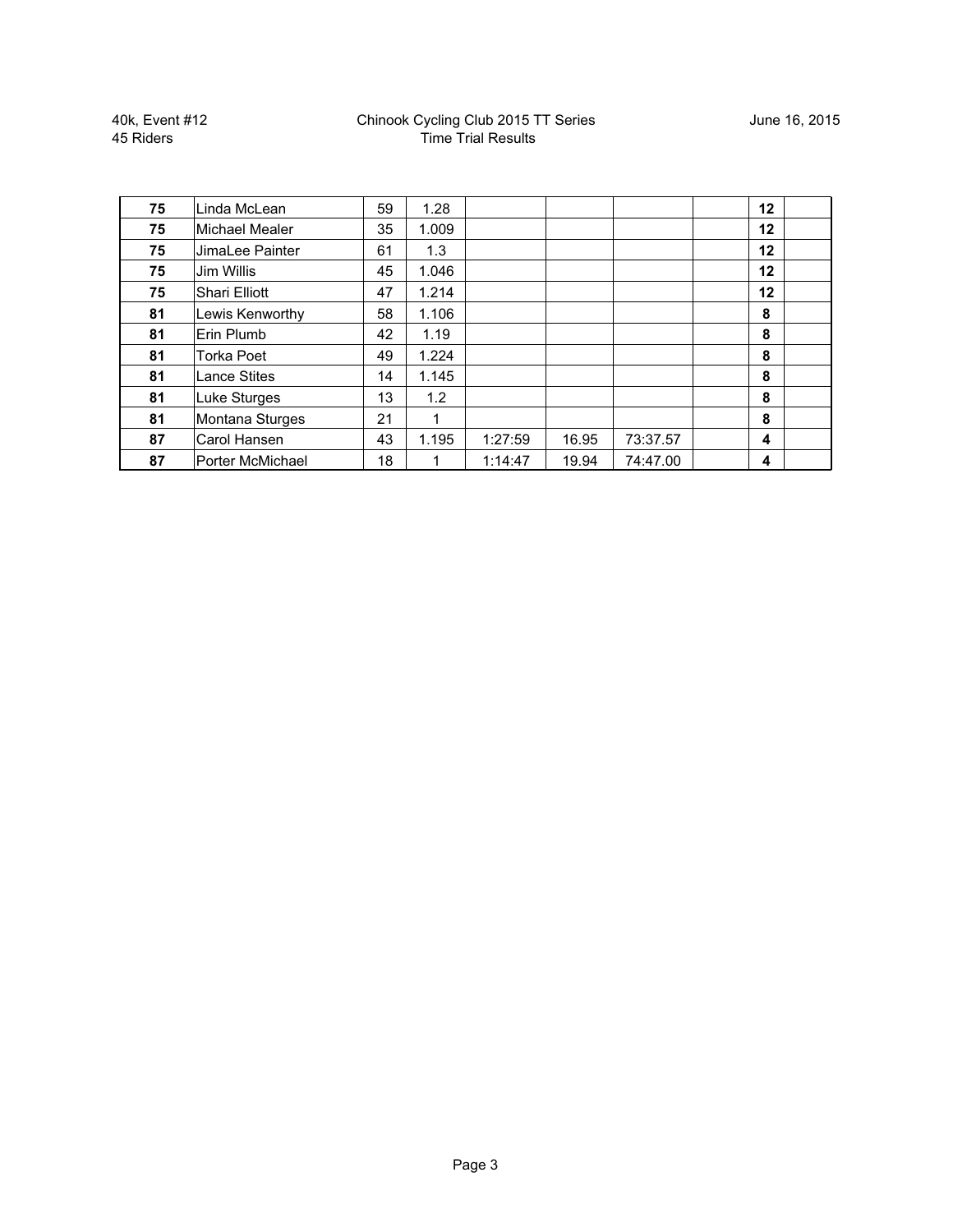40k, Event #12 45 Riders

| 75 | Linda McLean            | 59 | 1.28  |         |       |          | 12 |  |
|----|-------------------------|----|-------|---------|-------|----------|----|--|
| 75 | Michael Mealer          | 35 | 1.009 |         |       |          | 12 |  |
| 75 | JimaLee Painter         | 61 | 1.3   |         |       |          | 12 |  |
| 75 | Jim Willis              | 45 | 1.046 |         |       |          | 12 |  |
| 75 | <b>Shari Elliott</b>    | 47 | 1.214 |         |       |          | 12 |  |
| 81 | Lewis Kenworthy         | 58 | 1.106 |         |       |          | 8  |  |
| 81 | Erin Plumb              | 42 | 1.19  |         |       |          | 8  |  |
| 81 | <b>Torka Poet</b>       | 49 | 1.224 |         |       |          | 8  |  |
| 81 | <b>Lance Stites</b>     | 14 | 1.145 |         |       |          | 8  |  |
| 81 | Luke Sturges            | 13 | 1.2   |         |       |          | 8  |  |
| 81 | Montana Sturges         | 21 | 1     |         |       |          | 8  |  |
| 87 | Carol Hansen            | 43 | 1.195 | 1:27:59 | 16.95 | 73:37.57 | 4  |  |
| 87 | <b>Porter McMichael</b> | 18 |       | 1:14:47 | 19.94 | 74:47.00 | 4  |  |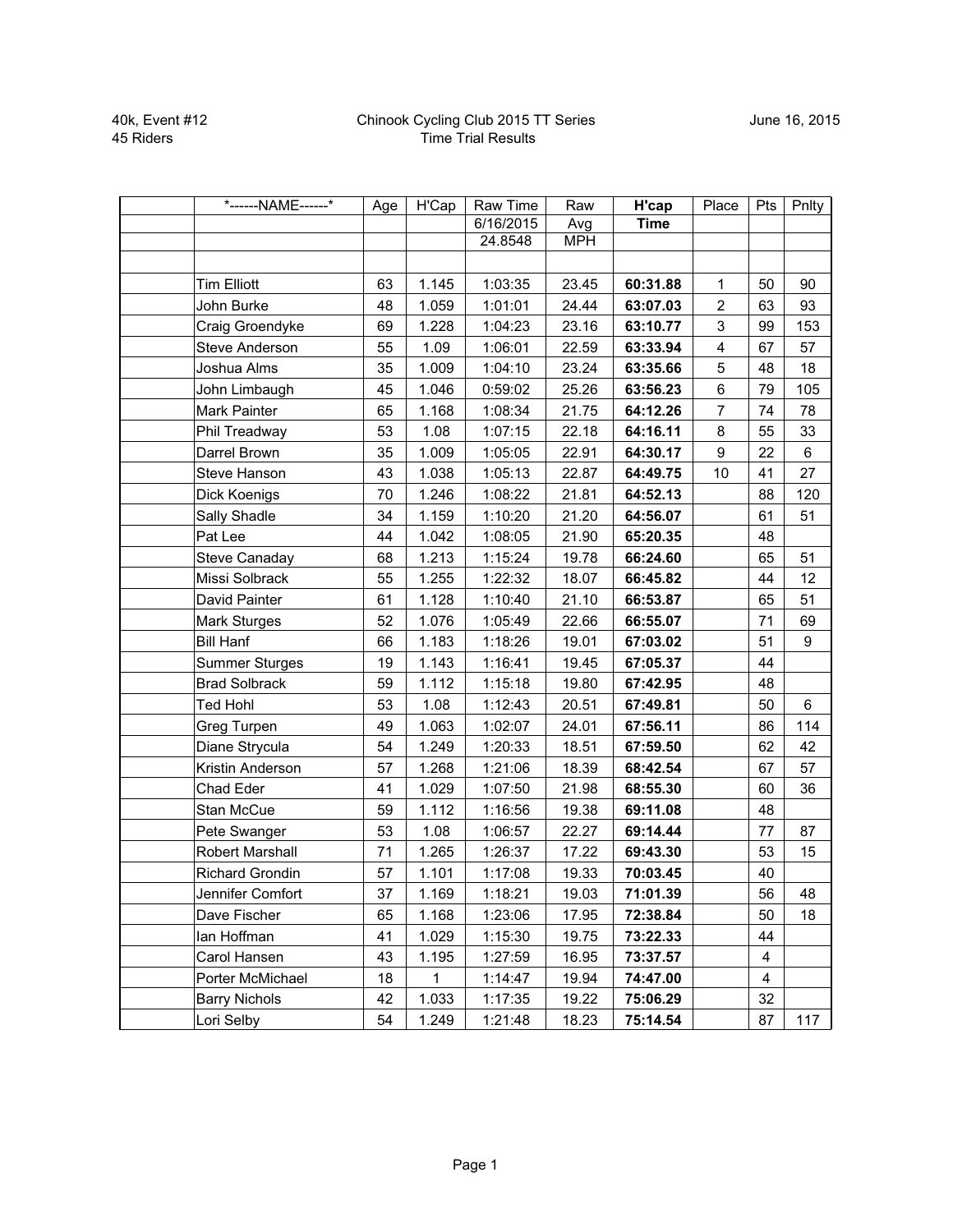| *------NAME------*    | Age | H'Cap | Raw Time  | Raw        | H'cap       | Place                   | Pts | Pnlty          |
|-----------------------|-----|-------|-----------|------------|-------------|-------------------------|-----|----------------|
|                       |     |       | 6/16/2015 | Avg        | <b>Time</b> |                         |     |                |
|                       |     |       | 24.8548   | <b>MPH</b> |             |                         |     |                |
|                       |     |       |           |            |             |                         |     |                |
| <b>Tim Elliott</b>    | 63  | 1.145 | 1:03:35   | 23.45      | 60:31.88    | $\mathbf{1}$            | 50  | 90             |
| John Burke            | 48  | 1.059 | 1:01:01   | 24.44      | 63:07.03    | $\overline{a}$          | 63  | 93             |
| Craig Groendyke       | 69  | 1.228 | 1:04:23   | 23.16      | 63:10.77    | 3                       | 99  | 153            |
| Steve Anderson        | 55  | 1.09  | 1:06:01   | 22.59      | 63:33.94    | $\overline{\mathbf{4}}$ | 67  | 57             |
| Joshua Alms           | 35  | 1.009 | 1:04:10   | 23.24      | 63:35.66    | 5                       | 48  | 18             |
| John Limbaugh         | 45  | 1.046 | 0:59:02   | 25.26      | 63:56.23    | 6                       | 79  | 105            |
| Mark Painter          | 65  | 1.168 | 1:08:34   | 21.75      | 64:12.26    | $\overline{7}$          | 74  | 78             |
| Phil Treadway         | 53  | 1.08  | 1:07:15   | 22.18      | 64:16.11    | 8                       | 55  | 33             |
| Darrel Brown          | 35  | 1.009 | 1:05:05   | 22.91      | 64:30.17    | 9                       | 22  | $6\phantom{a}$ |
| Steve Hanson          | 43  | 1.038 | 1:05:13   | 22.87      | 64:49.75    | 10                      | 41  | 27             |
| Dick Koenigs          | 70  | 1.246 | 1:08:22   | 21.81      | 64:52.13    |                         | 88  | 120            |
| Sally Shadle          | 34  | 1.159 | 1:10:20   | 21.20      | 64:56.07    |                         | 61  | 51             |
| Pat Lee               | 44  | 1.042 | 1:08:05   | 21.90      | 65:20.35    |                         | 48  |                |
| Steve Canaday         | 68  | 1.213 | 1:15:24   | 19.78      | 66:24.60    |                         | 65  | 51             |
| Missi Solbrack        | 55  | 1.255 | 1:22:32   | 18.07      | 66:45.82    |                         | 44  | 12             |
| David Painter         | 61  | 1.128 | 1:10:40   | 21.10      | 66:53.87    |                         | 65  | 51             |
| Mark Sturges          | 52  | 1.076 | 1:05:49   | 22.66      | 66:55.07    |                         | 71  | 69             |
| <b>Bill Hanf</b>      | 66  | 1.183 | 1:18:26   | 19.01      | 67:03.02    |                         | 51  | 9              |
| <b>Summer Sturges</b> | 19  | 1.143 | 1:16:41   | 19.45      | 67:05.37    |                         | 44  |                |
| <b>Brad Solbrack</b>  | 59  | 1.112 | 1:15:18   | 19.80      | 67:42.95    |                         | 48  |                |
| <b>Ted Hohl</b>       | 53  | 1.08  | 1:12:43   | 20.51      | 67:49.81    |                         | 50  | 6              |
| Greg Turpen           | 49  | 1.063 | 1:02:07   | 24.01      | 67:56.11    |                         | 86  | 114            |
| Diane Strycula        | 54  | 1.249 | 1:20:33   | 18.51      | 67:59.50    |                         | 62  | 42             |
| Kristin Anderson      | 57  | 1.268 | 1:21:06   | 18.39      | 68:42.54    |                         | 67  | 57             |
| Chad Eder             | 41  | 1.029 | 1:07:50   | 21.98      | 68:55.30    |                         | 60  | 36             |
| Stan McCue            | 59  | 1.112 | 1:16:56   | 19.38      | 69:11.08    |                         | 48  |                |
| Pete Swanger          | 53  | 1.08  | 1:06:57   | 22.27      | 69:14.44    |                         | 77  | 87             |
| Robert Marshall       | 71  | 1.265 | 1:26:37   | 17.22      | 69:43.30    |                         | 53  | 15             |
| Richard Grondin       | 57  | 1.101 | 1:17:08   | 19.33      | 70:03.45    |                         | 40  |                |
| Jennifer Comfort      | 37  | 1.169 | 1:18:21   | 19.03      | 71:01.39    |                         | 56  | 48             |
| Dave Fischer          | 65  | 1.168 | 1:23:06   | 17.95      | 72:38.84    |                         | 50  | 18             |
| lan Hoffman           | 41  | 1.029 | 1:15:30   | 19.75      | 73:22.33    |                         | 44  |                |
| Carol Hansen          | 43  | 1.195 | 1:27:59   | 16.95      | 73:37.57    |                         | 4   |                |
| Porter McMichael      | 18  | 1     | 1:14:47   | 19.94      | 74:47.00    |                         | 4   |                |
| <b>Barry Nichols</b>  | 42  | 1.033 | 1:17:35   | 19.22      | 75:06.29    |                         | 32  |                |
| Lori Selby            | 54  | 1.249 | 1:21:48   | 18.23      | 75:14.54    |                         | 87  | 117            |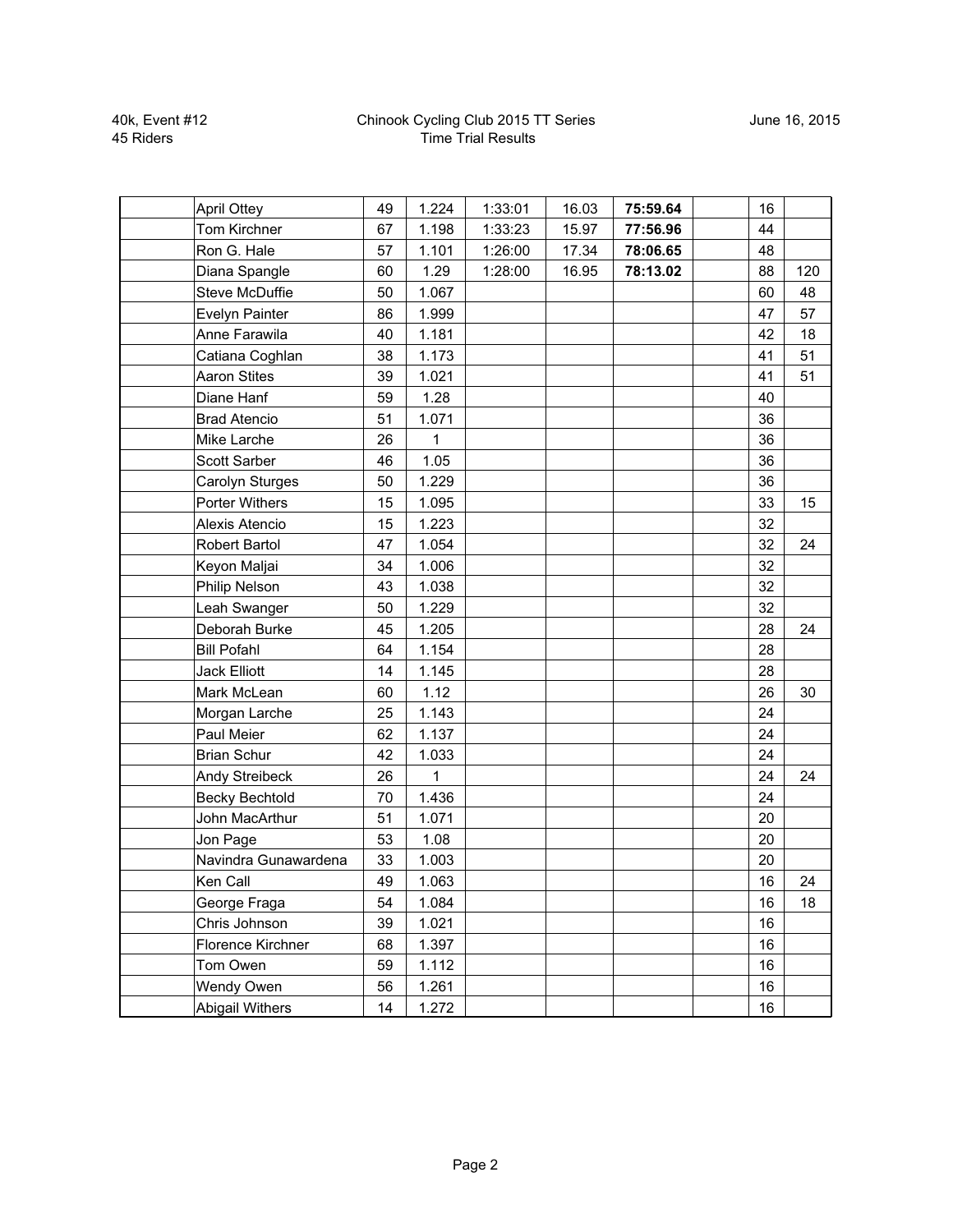| <b>April Ottey</b>    | 49 | 1.224 | 1:33:01 | 16.03 | 75:59.64 |    | 16 |     |
|-----------------------|----|-------|---------|-------|----------|----|----|-----|
| Tom Kirchner          | 67 | 1.198 | 1:33:23 | 15.97 | 77:56.96 | 44 |    |     |
| Ron G. Hale           | 57 | 1.101 | 1:26:00 | 17.34 | 78:06.65 | 48 |    |     |
| Diana Spangle         | 60 | 1.29  | 1:28:00 | 16.95 | 78:13.02 | 88 |    | 120 |
| Steve McDuffie        | 50 | 1.067 |         |       |          | 60 |    | 48  |
| Evelyn Painter        | 86 | 1.999 |         |       |          | 47 |    | 57  |
| Anne Farawila         | 40 | 1.181 |         |       |          | 42 |    | 18  |
| Catiana Coghlan       | 38 | 1.173 |         |       |          | 41 |    | 51  |
| <b>Aaron Stites</b>   | 39 | 1.021 |         |       |          | 41 |    | 51  |
| Diane Hanf            | 59 | 1.28  |         |       |          | 40 |    |     |
| <b>Brad Atencio</b>   | 51 | 1.071 |         |       |          | 36 |    |     |
| Mike Larche           | 26 | 1     |         |       |          | 36 |    |     |
| Scott Sarber          | 46 | 1.05  |         |       |          | 36 |    |     |
| Carolyn Sturges       | 50 | 1.229 |         |       |          | 36 |    |     |
| Porter Withers        | 15 | 1.095 |         |       |          | 33 |    | 15  |
| Alexis Atencio        | 15 | 1.223 |         |       |          | 32 |    |     |
| Robert Bartol         | 47 | 1.054 |         |       |          | 32 |    | 24  |
| Keyon Maljai          | 34 | 1.006 |         |       |          | 32 |    |     |
| Philip Nelson         | 43 | 1.038 |         |       |          | 32 |    |     |
| Leah Swanger          | 50 | 1.229 |         |       |          | 32 |    |     |
| Deborah Burke         | 45 | 1.205 |         |       |          | 28 |    | 24  |
| <b>Bill Pofahl</b>    | 64 | 1.154 |         |       |          | 28 |    |     |
| <b>Jack Elliott</b>   | 14 | 1.145 |         |       |          | 28 |    |     |
| Mark McLean           | 60 | 1.12  |         |       |          | 26 |    | 30  |
| Morgan Larche         | 25 | 1.143 |         |       |          |    | 24 |     |
| Paul Meier            | 62 | 1.137 |         |       |          | 24 |    |     |
| <b>Brian Schur</b>    | 42 | 1.033 |         |       |          | 24 |    |     |
| Andy Streibeck        | 26 | 1     |         |       |          | 24 |    | 24  |
| <b>Becky Bechtold</b> | 70 | 1.436 |         |       |          | 24 |    |     |
| John MacArthur        | 51 | 1.071 |         |       |          | 20 |    |     |
| Jon Page              | 53 | 1.08  |         |       |          | 20 |    |     |
| Navindra Gunawardena  | 33 | 1.003 |         |       |          | 20 |    |     |
| Ken Call              | 49 | 1.063 |         |       |          | 16 |    | 24  |
| George Fraga          | 54 | 1.084 |         |       |          | 16 |    | 18  |
| Chris Johnson         | 39 | 1.021 |         |       |          | 16 |    |     |
| Florence Kirchner     | 68 | 1.397 |         |       |          |    | 16 |     |
| Tom Owen              | 59 | 1.112 |         |       |          |    | 16 |     |
| Wendy Owen            | 56 | 1.261 |         |       |          |    | 16 |     |
| Abigail Withers       | 14 | 1.272 |         |       |          | 16 |    |     |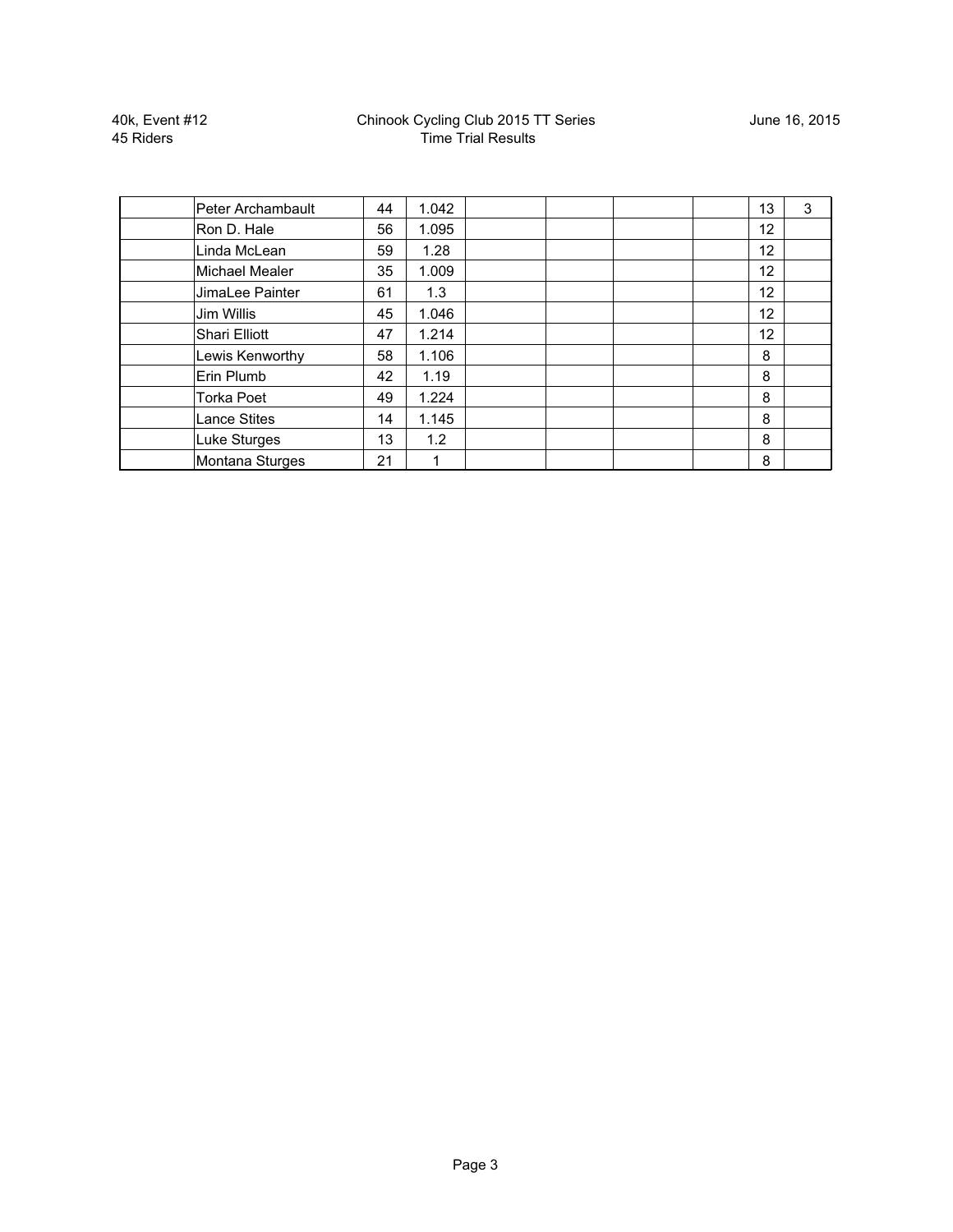40k, Event #12 45 Riders

| Peter Archambault     | 44 | 1.042 |  |  | 13 | 3 |
|-----------------------|----|-------|--|--|----|---|
| Ron D. Hale           | 56 | 1.095 |  |  | 12 |   |
| Linda McLean          | 59 | 1.28  |  |  | 12 |   |
| <b>Michael Mealer</b> | 35 | 1.009 |  |  | 12 |   |
| JimaLee Painter       | 61 | 1.3   |  |  | 12 |   |
| Jim Willis            | 45 | 1.046 |  |  | 12 |   |
| Shari Elliott         | 47 | 1.214 |  |  | 12 |   |
| Lewis Kenworthy       | 58 | 1.106 |  |  | 8  |   |
| Erin Plumb            | 42 | 1.19  |  |  | 8  |   |
| <b>Torka Poet</b>     | 49 | 1.224 |  |  | 8  |   |
| <b>Lance Stites</b>   | 14 | 1.145 |  |  | 8  |   |
| Luke Sturges          | 13 | 1.2   |  |  | 8  |   |
| Montana Sturges       | 21 | 1     |  |  | 8  |   |